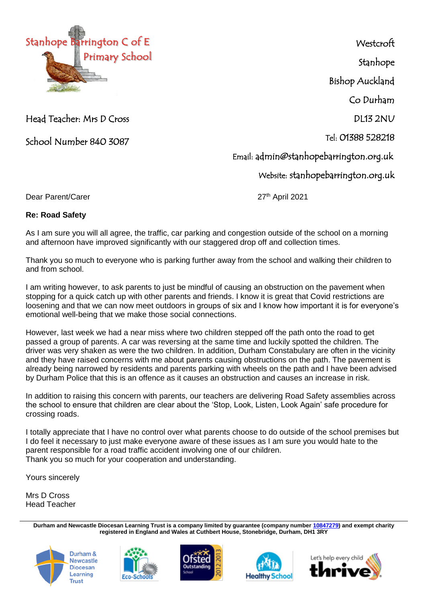

**Westcroft** Stanhope Bishop Auckland Co Durham DL13 2NU Tel: 01388 528218 Email: admin@stanhopebarrington.org.uk Website: stanhopebarrington.org.uk

Head Teacher: Mrs D Cross

School Number 840 3087

Dear Parent/Carer

27<sup>th</sup> April 2021

## **Re: Road Safety**

As I am sure you will all agree, the traffic, car parking and congestion outside of the school on a morning and afternoon have improved significantly with our staggered drop off and collection times.

Thank you so much to everyone who is parking further away from the school and walking their children to and from school.

I am writing however, to ask parents to just be mindful of causing an obstruction on the pavement when stopping for a quick catch up with other parents and friends. I know it is great that Covid restrictions are loosening and that we can now meet outdoors in groups of six and I know how important it is for everyone's emotional well-being that we make those social connections.

However, last week we had a near miss where two children stepped off the path onto the road to get passed a group of parents. A car was reversing at the same time and luckily spotted the children. The driver was very shaken as were the two children. In addition, Durham Constabulary are often in the vicinity and they have raised concerns with me about parents causing obstructions on the path. The pavement is already being narrowed by residents and parents parking with wheels on the path and I have been advised by Durham Police that this is an offence as it causes an obstruction and causes an increase in risk.

In addition to raising this concern with parents, our teachers are delivering Road Safety assemblies across the school to ensure that children are clear about the 'Stop, Look, Listen, Look Again' safe procedure for crossing roads.

I totally appreciate that I have no control over what parents choose to do outside of the school premises but I do feel it necessary to just make everyone aware of these issues as I am sure you would hate to the parent responsible for a road traffic accident involving one of our children. Thank you so much for your cooperation and understanding.

Yours sincerely

Mrs D Cross Head Teacher

> **Durham and Newcastle Diocesan Learning Trust is a company limited by guarantee (company number [10847279\)](tel:10847279) and exempt charity registered in England and Wales at Cuthbert House, Stonebridge, Durham, DH1 3RY**